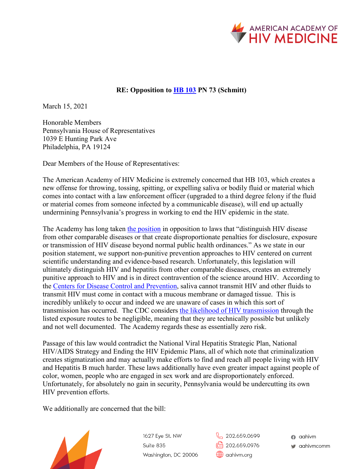

## **RE: Opposition to [HB 103](https://www.legis.state.pa.us/cfdocs/billinfo/billinfo.cfm?syear=2021&sind=0&body=H&type=B&bn=103) PN 73 (Schmitt)**

March 15, 2021

Honorable Members Pennsylvania House of Representatives 1039 E Hunting Park Ave Philadelphia, PA 19124

Dear Members of the House of Representatives:

The American Academy of HIV Medicine is extremely concerned that HB 103, which creates a new offense for throwing, tossing, spitting, or expelling saliva or bodily fluid or material which comes into contact with a law enforcement officer (upgraded to a third degree felony if the fluid or material comes from someone infected by a communicable disease), will end up actually undermining Pennsylvania's progress in working to end the HIV epidemic in the state.

The Academy has long taken [the position](https://aahivm.org/wp-content/uploads/2019/06/policy-platform-updated-6.3.19.pdf) in opposition to laws that "distinguish HIV disease" from other comparable diseases or that create disproportionate penalties for disclosure, exposure or transmission of HIV disease beyond normal public health ordinances." As we state in our position statement, we support non-punitive prevention approaches to HIV centered on current scientific understanding and evidence-based research. Unfortunately, this legislation will ultimately distinguish HIV and hepatitis from other comparable diseases, creates an extremely punitive approach to HIV and is in direct contravention of the science around HIV. According to the [Centers for Disease Control and Prevention,](https://www.cdc.gov/hiv/basics/transmission.html) saliva cannot transmit HIV and other fluids to transmit HIV must come in contact with a mucous membrane or damaged tissue. This is incredibly unlikely to occur and indeed we are unaware of cases in which this sort of transmission has occurred. The CDC considers [the likelihood of HIV transmission](https://www.cdc.gov/hiv/risk/estimates/riskbehaviors.html) through the listed exposure routes to be negligible, meaning that they are technically possible but unlikely and not well documented. The Academy regards these as essentially zero risk.

Passage of this law would contradict the National Viral Hepatitis Strategic Plan, National HIV/AIDS Strategy and Ending the HIV Epidemic Plans, all of which note that criminalization creates stigmatization and may actually make efforts to find and reach all people living with HIV and Hepatitis B much harder. These laws additionally have even greater impact against people of color, women, people who are engaged in sex work and are disproportionately enforced. Unfortunately, for absolutely no gain in security, Pennsylvania would be undercutting its own HIV prevention efforts.

We additionally are concerned that the bill:



1627 Eye St. NW Suite 835 Washington, DC 20006

202.659.0699  $\sqrt{\frac{P_{\text{min}}}{P_{\text{min}}}}$  202.659.0976 contivm.org

a aahivm v aahivmcomm